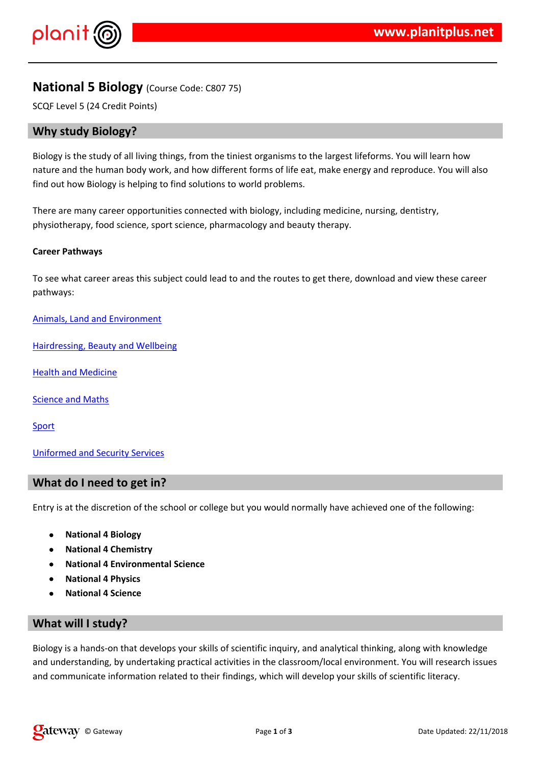$\frac{1}{2}$  # \$ % % &

'% # % (  $\frac{4}{100}$  (%&##)\*#%"%&&%&% \* ( # #%  $*$  +, %## # & ( ( \* & - ) & ( % & \* # % \* . &) & /, + %##  $8<sub>1</sub>$ ( '%(## % % % % & # % &# \* + % &

0 ( /  $-1$  (/% / ## & ( ) & # & "% (  $\sqrt{ }$ 

2 & %\* # ) & & & "% & \* &

 $4\%$  % & ) &  $5\#$  # - % &

 $4$  # (  $8$  6 %/% &

 $1\%$  &  $/$  & 6 (

& % \* & / % "%/

3 & % ( % / / ( %# & # # - (  $\#$  & \* ( # # / ( % " & ( # # % &

 $\mathbf{I} = \mathbf{I}$  $\mathbf{I}$  $\frac{1}{2}$   $\frac{1}{2}$ 

& &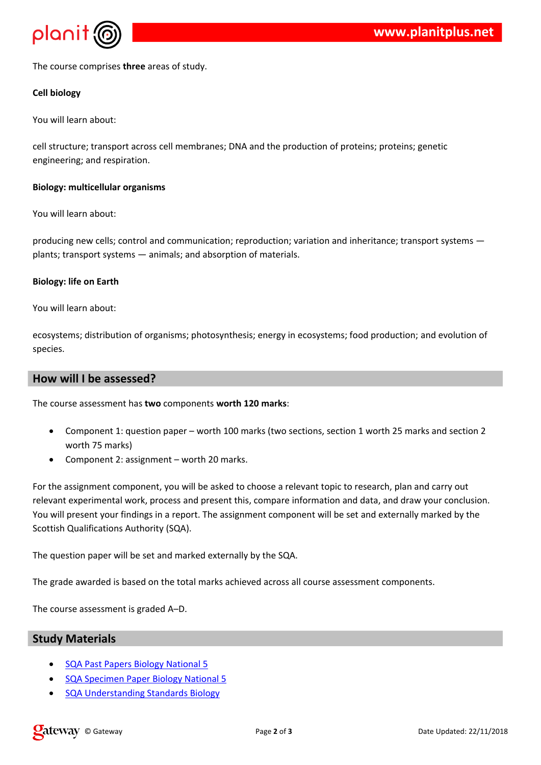$0() /$  / \* %  $+$ 

 $#$ 

 $,$  %## # &

/ # # / 9 & / #\*# \* / & 92 & ( / % & % & 9 % & 9 & & %& %& 9 & % % & +

 $\frac{1}{2}$ 

 $,$  %## # &

/%& & /## \$&//\*& & %#/ % & 9 / % & 9 " %% & % & % & & / 9 & ; \* ;  $8\%$  \* # 9 & - % & \* % # + # & 9&

 $$ \%$ 

 $\frac{8}{10}$  % # #  $\frac{4}{10}$  &

\* 9 % %- %&&% \* 9 ( & ( % 9 & %& / & \*"9# %  $\sqrt{2}$  $/ \frac{9}{6}$  +

 $\frac{8}{4}$ 

 $0($  /  $*$  & ( /  $*$  & &' (

\* & & 8 % & ( \* . / % & ) / % (& \* . & / % &  $\left($ % <  $8 * 8$  (\* . +  $*$  & &

 $($  % &  $*$  &  $/$  \* & % #  $*$  -  $/$  (  $\qquad$  # " & % /  $\qquad$  / (#) & / & %## & %& %& \$ \& % & \* & / \* & & & % ## - & ## \*  $1$  % ( #% % / % & 2  $2$  ( %

 $0(8 \t% 8 \t% 12 +$   $12 +$   $12 +$ 

 $\%$  - (  $\&\#$  . / (% " / / ## \*/ & & & +  $0($ 

 $0()$ \* & % < +

 $\mathcal{E}$ 

 $\frac{10}{6}$  #% & #  $2<sup>1</sup>$  $2$  /%\* & '% #: % & #  $2888\%8888''\%$